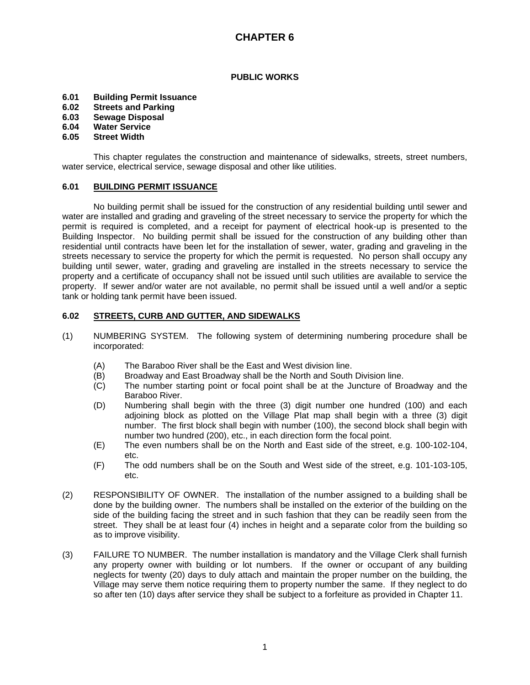#### **PUBLIC WORKS**

- **6.01 Building Permit Issuance**
- **6.02 Streets and Parking**
- **6.03 Sewage Disposal**
- **6.04 Water Service**

### **6.05 Street Width**

This chapter regulates the construction and maintenance of sidewalks, streets, street numbers, water service, electrical service, sewage disposal and other like utilities.

#### **6.01 BUILDING PERMIT ISSUANCE**

No building permit shall be issued for the construction of any residential building until sewer and water are installed and grading and graveling of the street necessary to service the property for which the permit is required is completed, and a receipt for payment of electrical hook-up is presented to the Building Inspector. No building permit shall be issued for the construction of any building other than residential until contracts have been let for the installation of sewer, water, grading and graveling in the streets necessary to service the property for which the permit is requested. No person shall occupy any building until sewer, water, grading and graveling are installed in the streets necessary to service the property and a certificate of occupancy shall not be issued until such utilities are available to service the property. If sewer and/or water are not available, no permit shall be issued until a well and/or a septic tank or holding tank permit have been issued.

### **6.02 STREETS, CURB AND GUTTER, AND SIDEWALKS**

- (1) NUMBERING SYSTEM. The following system of determining numbering procedure shall be incorporated:
	- (A) The Baraboo River shall be the East and West division line.
	- (B) Broadway and East Broadway shall be the North and South Division line.
	- (C) The number starting point or focal point shall be at the Juncture of Broadway and the Baraboo River.
	- (D) Numbering shall begin with the three (3) digit number one hundred (100) and each adjoining block as plotted on the Village Plat map shall begin with a three (3) digit number. The first block shall begin with number (100), the second block shall begin with number two hundred (200), etc., in each direction form the focal point.
	- (E) The even numbers shall be on the North and East side of the street, e.g. 100-102-104, etc.
	- (F) The odd numbers shall be on the South and West side of the street, e.g. 101-103-105, etc.
- (2) RESPONSIBILITY OF OWNER. The installation of the number assigned to a building shall be done by the building owner. The numbers shall be installed on the exterior of the building on the side of the building facing the street and in such fashion that they can be readily seen from the street. They shall be at least four (4) inches in height and a separate color from the building so as to improve visibility.
- (3) FAILURE TO NUMBER. The number installation is mandatory and the Village Clerk shall furnish any property owner with building or lot numbers. If the owner or occupant of any building neglects for twenty (20) days to duly attach and maintain the proper number on the building, the Village may serve them notice requiring them to property number the same. If they neglect to do so after ten (10) days after service they shall be subject to a forfeiture as provided in Chapter 11.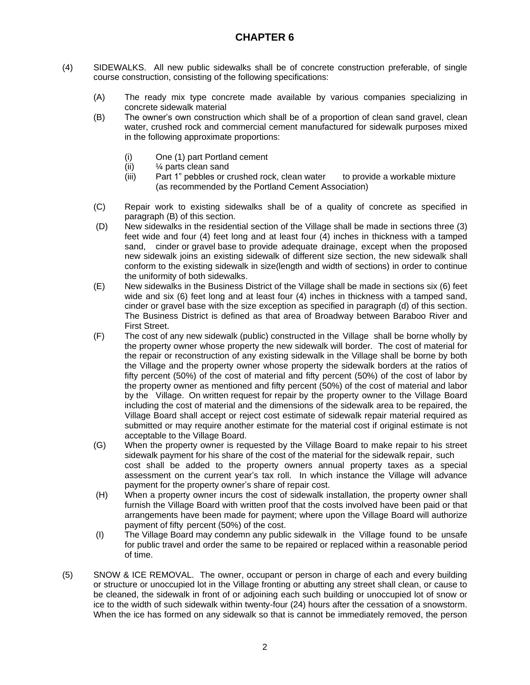- (4) SIDEWALKS. All new public sidewalks shall be of concrete construction preferable, of single course construction, consisting of the following specifications:
	- (A) The ready mix type concrete made available by various companies specializing in concrete sidewalk material
	- (B) The owner's own construction which shall be of a proportion of clean sand gravel, clean water, crushed rock and commercial cement manufactured for sidewalk purposes mixed in the following approximate proportions:
		- (i) One (1) part Portland cement
		- (ii) ¼ parts clean sand
		- (iii) Part 1" pebbles or crushed rock, clean water to provide a workable mixture (as recommended by the Portland Cement Association)
	- (C) Repair work to existing sidewalks shall be of a quality of concrete as specified in paragraph (B) of this section.
	- (D) New sidewalks in the residential section of the Village shall be made in sections three (3) feet wide and four (4) feet long and at least four (4) inches in thickness with a tamped sand, cinder or gravel base to provide adequate drainage, except when the proposed new sidewalk joins an existing sidewalk of different size section, the new sidewalk shall conform to the existing sidewalk in size(length and width of sections) in order to continue the uniformity of both sidewalks.
	- (E) New sidewalks in the Business District of the Village shall be made in sections six (6) feet wide and six (6) feet long and at least four (4) inches in thickness with a tamped sand, cinder or gravel base with the size exception as specified in paragraph (d) of this section. The Business District is defined as that area of Broadway between Baraboo River and First Street.
	- (F) The cost of any new sidewalk (public) constructed in the Village shall be borne wholly by the property owner whose property the new sidewalk will border. The cost of material for the repair or reconstruction of any existing sidewalk in the Village shall be borne by both the Village and the property owner whose property the sidewalk borders at the ratios of fifty percent (50%) of the cost of material and fifty percent (50%) of the cost of labor by the property owner as mentioned and fifty percent (50%) of the cost of material and labor by the Village. On written request for repair by the property owner to the Village Board including the cost of material and the dimensions of the sidewalk area to be repaired, the Village Board shall accept or reject cost estimate of sidewalk repair material required as submitted or may require another estimate for the material cost if original estimate is not acceptable to the Village Board.
	- (G) When the property owner is requested by the Village Board to make repair to his street sidewalk payment for his share of the cost of the material for the sidewalk repair, such cost shall be added to the property owners annual property taxes as a special assessment on the current year's tax roll. In which instance the Village will advance payment for the property owner's share of repair cost.
	- (H) When a property owner incurs the cost of sidewalk installation, the property owner shall furnish the Village Board with written proof that the costs involved have been paid or that arrangements have been made for payment; where upon the Village Board will authorize payment of fifty percent (50%) of the cost.
	- (I) The Village Board may condemn any public sidewalk in the Village found to be unsafe for public travel and order the same to be repaired or replaced within a reasonable period of time.
- (5) SNOW & ICE REMOVAL. The owner, occupant or person in charge of each and every building or structure or unoccupied lot in the Village fronting or abutting any street shall clean, or cause to be cleaned, the sidewalk in front of or adjoining each such building or unoccupied lot of snow or ice to the width of such sidewalk within twenty-four (24) hours after the cessation of a snowstorm. When the ice has formed on any sidewalk so that is cannot be immediately removed, the person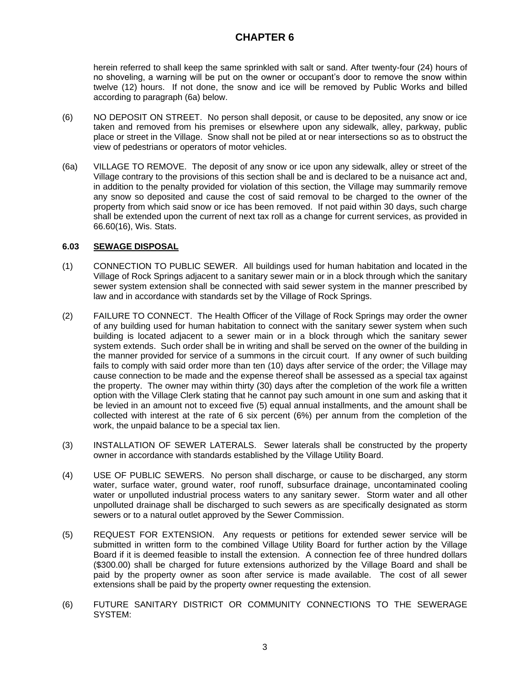herein referred to shall keep the same sprinkled with salt or sand. After twenty-four (24) hours of no shoveling, a warning will be put on the owner or occupant's door to remove the snow within twelve (12) hours. If not done, the snow and ice will be removed by Public Works and billed according to paragraph (6a) below.

- (6) NO DEPOSIT ON STREET. No person shall deposit, or cause to be deposited, any snow or ice taken and removed from his premises or elsewhere upon any sidewalk, alley, parkway, public place or street in the Village. Snow shall not be piled at or near intersections so as to obstruct the view of pedestrians or operators of motor vehicles.
- (6a) VILLAGE TO REMOVE. The deposit of any snow or ice upon any sidewalk, alley or street of the Village contrary to the provisions of this section shall be and is declared to be a nuisance act and, in addition to the penalty provided for violation of this section, the Village may summarily remove any snow so deposited and cause the cost of said removal to be charged to the owner of the property from which said snow or ice has been removed. If not paid within 30 days, such charge shall be extended upon the current of next tax roll as a change for current services, as provided in 66.60(16), Wis. Stats.

### **6.03 SEWAGE DISPOSAL**

- (1) CONNECTION TO PUBLIC SEWER. All buildings used for human habitation and located in the Village of Rock Springs adjacent to a sanitary sewer main or in a block through which the sanitary sewer system extension shall be connected with said sewer system in the manner prescribed by law and in accordance with standards set by the Village of Rock Springs.
- (2) FAILURE TO CONNECT. The Health Officer of the Village of Rock Springs may order the owner of any building used for human habitation to connect with the sanitary sewer system when such building is located adjacent to a sewer main or in a block through which the sanitary sewer system extends. Such order shall be in writing and shall be served on the owner of the building in the manner provided for service of a summons in the circuit court. If any owner of such building fails to comply with said order more than ten (10) days after service of the order; the Village may cause connection to be made and the expense thereof shall be assessed as a special tax against the property. The owner may within thirty (30) days after the completion of the work file a written option with the Village Clerk stating that he cannot pay such amount in one sum and asking that it be levied in an amount not to exceed five (5) equal annual installments, and the amount shall be collected with interest at the rate of 6 six percent (6%) per annum from the completion of the work, the unpaid balance to be a special tax lien.
- (3) INSTALLATION OF SEWER LATERALS. Sewer laterals shall be constructed by the property owner in accordance with standards established by the Village Utility Board.
- (4) USE OF PUBLIC SEWERS. No person shall discharge, or cause to be discharged, any storm water, surface water, ground water, roof runoff, subsurface drainage, uncontaminated cooling water or unpolluted industrial process waters to any sanitary sewer. Storm water and all other unpolluted drainage shall be discharged to such sewers as are specifically designated as storm sewers or to a natural outlet approved by the Sewer Commission.
- (5) REQUEST FOR EXTENSION. Any requests or petitions for extended sewer service will be submitted in written form to the combined Village Utility Board for further action by the Village Board if it is deemed feasible to install the extension. A connection fee of three hundred dollars (\$300.00) shall be charged for future extensions authorized by the Village Board and shall be paid by the property owner as soon after service is made available. The cost of all sewer extensions shall be paid by the property owner requesting the extension.
- (6) FUTURE SANITARY DISTRICT OR COMMUNITY CONNECTIONS TO THE SEWERAGE SYSTEM: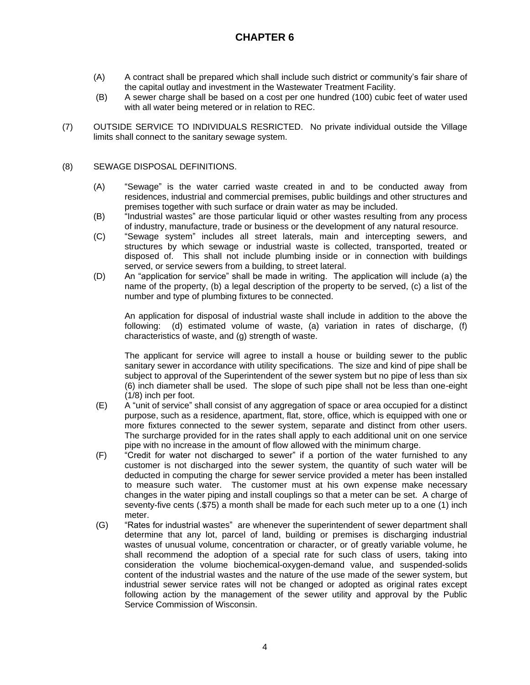- (A) A contract shall be prepared which shall include such district or community's fair share of the capital outlay and investment in the Wastewater Treatment Facility.
- (B) A sewer charge shall be based on a cost per one hundred (100) cubic feet of water used with all water being metered or in relation to REC.
- (7) OUTSIDE SERVICE TO INDIVIDUALS RESRICTED. No private individual outside the Village limits shall connect to the sanitary sewage system.

#### (8) SEWAGE DISPOSAL DEFINITIONS.

- (A) "Sewage" is the water carried waste created in and to be conducted away from residences, industrial and commercial premises, public buildings and other structures and premises together with such surface or drain water as may be included.
- (B) "Industrial wastes" are those particular liquid or other wastes resulting from any process of industry, manufacture, trade or business or the development of any natural resource.
- (C) "Sewage system" includes all street laterals, main and intercepting sewers, and structures by which sewage or industrial waste is collected, transported, treated or disposed of. This shall not include plumbing inside or in connection with buildings served, or service sewers from a building, to street lateral.
- (D) An "application for service" shall be made in writing. The application will include (a) the name of the property, (b) a legal description of the property to be served, (c) a list of the number and type of plumbing fixtures to be connected.

An application for disposal of industrial waste shall include in addition to the above the following: (d) estimated volume of waste, (a) variation in rates of discharge, (f) characteristics of waste, and (g) strength of waste.

The applicant for service will agree to install a house or building sewer to the public sanitary sewer in accordance with utility specifications. The size and kind of pipe shall be subject to approval of the Superintendent of the sewer system but no pipe of less than six (6) inch diameter shall be used. The slope of such pipe shall not be less than one-eight (1/8) inch per foot.

- (E) A "unit of service" shall consist of any aggregation of space or area occupied for a distinct purpose, such as a residence, apartment, flat, store, office, which is equipped with one or more fixtures connected to the sewer system, separate and distinct from other users. The surcharge provided for in the rates shall apply to each additional unit on one service pipe with no increase in the amount of flow allowed with the minimum charge.
- (F) "Credit for water not discharged to sewer" if a portion of the water furnished to any customer is not discharged into the sewer system, the quantity of such water will be deducted in computing the charge for sewer service provided a meter has been installed to measure such water. The customer must at his own expense make necessary changes in the water piping and install couplings so that a meter can be set. A charge of seventy-five cents (.\$75) a month shall be made for each such meter up to a one (1) inch meter.
- (G) "Rates for industrial wastes" are whenever the superintendent of sewer department shall determine that any lot, parcel of land, building or premises is discharging industrial wastes of unusual volume, concentration or character, or of greatly variable volume, he shall recommend the adoption of a special rate for such class of users, taking into consideration the volume biochemical-oxygen-demand value, and suspended-solids content of the industrial wastes and the nature of the use made of the sewer system, but industrial sewer service rates will not be changed or adopted as original rates except following action by the management of the sewer utility and approval by the Public Service Commission of Wisconsin.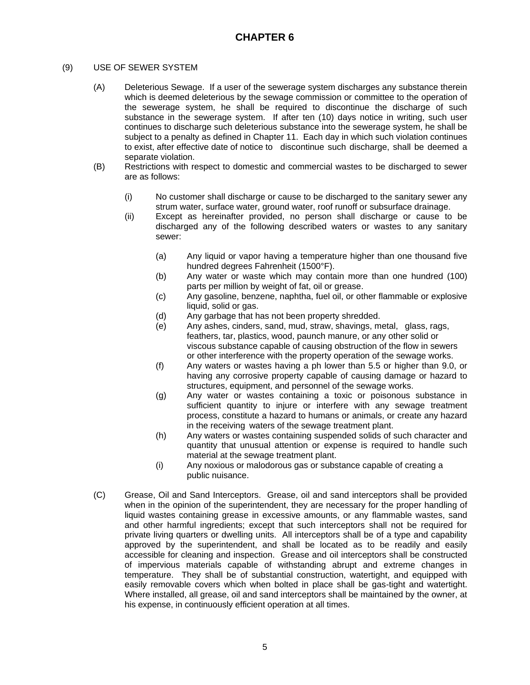### (9) USE OF SEWER SYSTEM

- (A) Deleterious Sewage. If a user of the sewerage system discharges any substance therein which is deemed deleterious by the sewage commission or committee to the operation of the sewerage system, he shall be required to discontinue the discharge of such substance in the sewerage system. If after ten (10) days notice in writing, such user continues to discharge such deleterious substance into the sewerage system, he shall be subject to a penalty as defined in Chapter 11. Each day in which such violation continues to exist, after effective date of notice to discontinue such discharge, shall be deemed a separate violation.
- (B) Restrictions with respect to domestic and commercial wastes to be discharged to sewer are as follows:
	- (i) No customer shall discharge or cause to be discharged to the sanitary sewer any strum water, surface water, ground water, roof runoff or subsurface drainage.
	- (ii) Except as hereinafter provided, no person shall discharge or cause to be discharged any of the following described waters or wastes to any sanitary sewer:
		- (a) Any liquid or vapor having a temperature higher than one thousand five hundred degrees Fahrenheit (1500°F).
		- (b) Any water or waste which may contain more than one hundred (100) parts per million by weight of fat, oil or grease.
		- (c) Any gasoline, benzene, naphtha, fuel oil, or other flammable or explosive liquid, solid or gas.
		- (d) Any garbage that has not been property shredded.
		- (e) Any ashes, cinders, sand, mud, straw, shavings, metal, glass, rags, feathers, tar, plastics, wood, paunch manure, or any other solid or viscous substance capable of causing obstruction of the flow in sewers or other interference with the property operation of the sewage works.
		- (f) Any waters or wastes having a ph lower than 5.5 or higher than 9.0, or having any corrosive property capable of causing damage or hazard to structures, equipment, and personnel of the sewage works.
		- (g) Any water or wastes containing a toxic or poisonous substance in sufficient quantity to injure or interfere with any sewage treatment process, constitute a hazard to humans or animals, or create any hazard in the receiving waters of the sewage treatment plant.
		- (h) Any waters or wastes containing suspended solids of such character and quantity that unusual attention or expense is required to handle such material at the sewage treatment plant.
		- (i) Any noxious or malodorous gas or substance capable of creating a public nuisance.
- (C) Grease, Oil and Sand Interceptors. Grease, oil and sand interceptors shall be provided when in the opinion of the superintendent, they are necessary for the proper handling of liquid wastes containing grease in excessive amounts, or any flammable wastes, sand and other harmful ingredients; except that such interceptors shall not be required for private living quarters or dwelling units. All interceptors shall be of a type and capability approved by the superintendent, and shall be located as to be readily and easily accessible for cleaning and inspection. Grease and oil interceptors shall be constructed of impervious materials capable of withstanding abrupt and extreme changes in temperature. They shall be of substantial construction, watertight, and equipped with easily removable covers which when bolted in place shall be gas-tight and watertight. Where installed, all grease, oil and sand interceptors shall be maintained by the owner, at his expense, in continuously efficient operation at all times.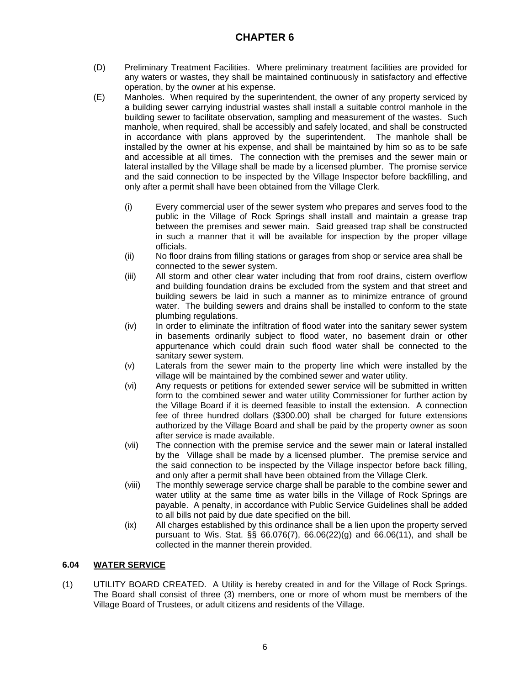- (D) Preliminary Treatment Facilities. Where preliminary treatment facilities are provided for any waters or wastes, they shall be maintained continuously in satisfactory and effective operation, by the owner at his expense.
- (E) Manholes. When required by the superintendent, the owner of any property serviced by a building sewer carrying industrial wastes shall install a suitable control manhole in the building sewer to facilitate observation, sampling and measurement of the wastes. Such manhole, when required, shall be accessibly and safely located, and shall be constructed in accordance with plans approved by the superintendent. The manhole shall be installed by the owner at his expense, and shall be maintained by him so as to be safe and accessible at all times. The connection with the premises and the sewer main or lateral installed by the Village shall be made by a licensed plumber. The promise service and the said connection to be inspected by the Village Inspector before backfilling, and only after a permit shall have been obtained from the Village Clerk.
	- (i) Every commercial user of the sewer system who prepares and serves food to the public in the Village of Rock Springs shall install and maintain a grease trap between the premises and sewer main. Said greased trap shall be constructed in such a manner that it will be available for inspection by the proper village officials.
	- (ii) No floor drains from filling stations or garages from shop or service area shall be connected to the sewer system.
	- (iii) All storm and other clear water including that from roof drains, cistern overflow and building foundation drains be excluded from the system and that street and building sewers be laid in such a manner as to minimize entrance of ground water. The building sewers and drains shall be installed to conform to the state plumbing regulations.
	- (iv) In order to eliminate the infiltration of flood water into the sanitary sewer system in basements ordinarily subject to flood water, no basement drain or other appurtenance which could drain such flood water shall be connected to the sanitary sewer system.
	- (v) Laterals from the sewer main to the property line which were installed by the village will be maintained by the combined sewer and water utility.
	- (vi) Any requests or petitions for extended sewer service will be submitted in written form to the combined sewer and water utility Commissioner for further action by the Village Board if it is deemed feasible to install the extension. A connection fee of three hundred dollars (\$300.00) shall be charged for future extensions authorized by the Village Board and shall be paid by the property owner as soon after service is made available.
	- (vii) The connection with the premise service and the sewer main or lateral installed by the Village shall be made by a licensed plumber. The premise service and the said connection to be inspected by the Village inspector before back filling, and only after a permit shall have been obtained from the Village Clerk.
	- (viii) The monthly sewerage service charge shall be parable to the combine sewer and water utility at the same time as water bills in the Village of Rock Springs are payable. A penalty, in accordance with Public Service Guidelines shall be added to all bills not paid by due date specified on the bill.
	- (ix) All charges established by this ordinance shall be a lien upon the property served pursuant to Wis. Stat. §§ 66.076(7), 66.06(22)(g) and 66.06(11), and shall be collected in the manner therein provided.

### **6.04 WATER SERVICE**

(1) UTILITY BOARD CREATED. A Utility is hereby created in and for the Village of Rock Springs. The Board shall consist of three (3) members, one or more of whom must be members of the Village Board of Trustees, or adult citizens and residents of the Village.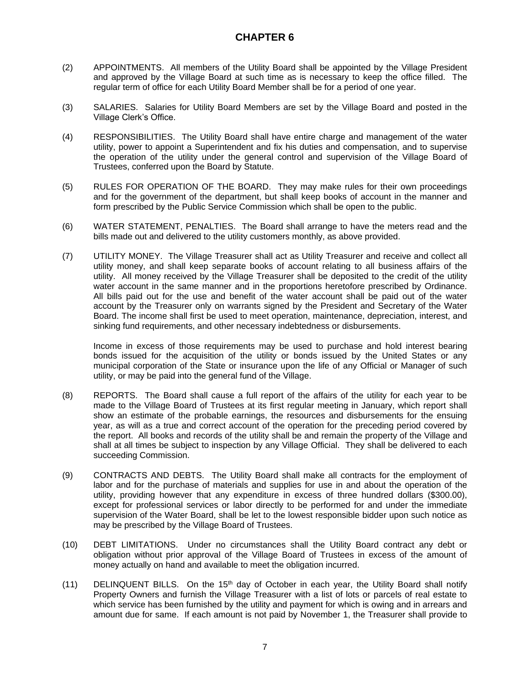- (2) APPOINTMENTS. All members of the Utility Board shall be appointed by the Village President and approved by the Village Board at such time as is necessary to keep the office filled. The regular term of office for each Utility Board Member shall be for a period of one year.
- (3) SALARIES. Salaries for Utility Board Members are set by the Village Board and posted in the Village Clerk's Office.
- (4) RESPONSIBILITIES. The Utility Board shall have entire charge and management of the water utility, power to appoint a Superintendent and fix his duties and compensation, and to supervise the operation of the utility under the general control and supervision of the Village Board of Trustees, conferred upon the Board by Statute.
- (5) RULES FOR OPERATION OF THE BOARD. They may make rules for their own proceedings and for the government of the department, but shall keep books of account in the manner and form prescribed by the Public Service Commission which shall be open to the public.
- (6) WATER STATEMENT, PENALTIES. The Board shall arrange to have the meters read and the bills made out and delivered to the utility customers monthly, as above provided.
- (7) UTILITY MONEY. The Village Treasurer shall act as Utility Treasurer and receive and collect all utility money, and shall keep separate books of account relating to all business affairs of the utility. All money received by the Village Treasurer shall be deposited to the credit of the utility water account in the same manner and in the proportions heretofore prescribed by Ordinance. All bills paid out for the use and benefit of the water account shall be paid out of the water account by the Treasurer only on warrants signed by the President and Secretary of the Water Board. The income shall first be used to meet operation, maintenance, depreciation, interest, and sinking fund requirements, and other necessary indebtedness or disbursements.

Income in excess of those requirements may be used to purchase and hold interest bearing bonds issued for the acquisition of the utility or bonds issued by the United States or any municipal corporation of the State or insurance upon the life of any Official or Manager of such utility, or may be paid into the general fund of the Village.

- (8) REPORTS. The Board shall cause a full report of the affairs of the utility for each year to be made to the Village Board of Trustees at its first regular meeting in January, which report shall show an estimate of the probable earnings, the resources and disbursements for the ensuing year, as will as a true and correct account of the operation for the preceding period covered by the report. All books and records of the utility shall be and remain the property of the Village and shall at all times be subject to inspection by any Village Official. They shall be delivered to each succeeding Commission.
- (9) CONTRACTS AND DEBTS. The Utility Board shall make all contracts for the employment of labor and for the purchase of materials and supplies for use in and about the operation of the utility, providing however that any expenditure in excess of three hundred dollars (\$300.00), except for professional services or labor directly to be performed for and under the immediate supervision of the Water Board, shall be let to the lowest responsible bidder upon such notice as may be prescribed by the Village Board of Trustees.
- (10) DEBT LIMITATIONS. Under no circumstances shall the Utility Board contract any debt or obligation without prior approval of the Village Board of Trustees in excess of the amount of money actually on hand and available to meet the obligation incurred.
- $(11)$  DELINQUENT BILLS. On the 15<sup>th</sup> day of October in each year, the Utility Board shall notify Property Owners and furnish the Village Treasurer with a list of lots or parcels of real estate to which service has been furnished by the utility and payment for which is owing and in arrears and amount due for same. If each amount is not paid by November 1, the Treasurer shall provide to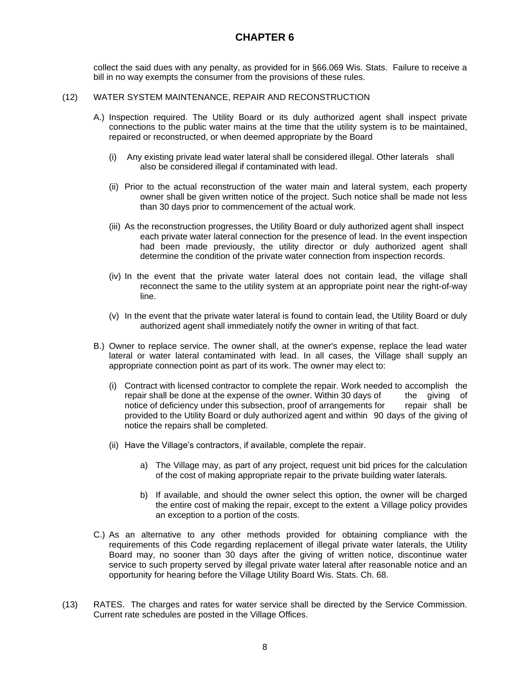collect the said dues with any penalty, as provided for in §66.069 Wis. Stats. Failure to receive a bill in no way exempts the consumer from the provisions of these rules.

#### (12) WATER SYSTEM MAINTENANCE, REPAIR AND RECONSTRUCTION

- A.) Inspection required. The Utility Board or its duly authorized agent shall inspect private connections to the public water mains at the time that the utility system is to be maintained, repaired or reconstructed, or when deemed appropriate by the Board
	- (i) Any existing private lead water lateral shall be considered illegal. Other laterals shall also be considered illegal if contaminated with lead.
	- (ii) Prior to the actual reconstruction of the water main and lateral system, each property owner shall be given written notice of the project. Such notice shall be made not less than 30 days prior to commencement of the actual work.
	- (iii) As the reconstruction progresses, the Utility Board or duly authorized agent shall inspect each private water lateral connection for the presence of lead. In the event inspection had been made previously, the utility director or duly authorized agent shall determine the condition of the private water connection from inspection records.
	- (iv) In the event that the private water lateral does not contain lead, the village shall reconnect the same to the utility system at an appropriate point near the right-of-way line.
	- (v) In the event that the private water lateral is found to contain lead, the Utility Board or duly authorized agent shall immediately notify the owner in writing of that fact.
- B.) Owner to replace service. The owner shall, at the owner's expense, replace the lead water lateral or water lateral contaminated with lead. In all cases, the Village shall supply an appropriate connection point as part of its work. The owner may elect to:
	- (i) Contract with licensed contractor to complete the repair. Work needed to accomplish the repair shall be done at the expense of the owner. Within 30 days of the giving of notice of deficiency under this subsection, proof of arrangements for repair shall be notice of deficiency under this subsection, proof of arrangements for provided to the Utility Board or duly authorized agent and within 90 days of the giving of notice the repairs shall be completed.
	- (ii) Have the Village's contractors, if available, complete the repair.
		- a) The Village may, as part of any project, request unit bid prices for the calculation of the cost of making appropriate repair to the private building water laterals.
		- b) If available, and should the owner select this option, the owner will be charged the entire cost of making the repair, except to the extent a Village policy provides an exception to a portion of the costs.
- C.) As an alternative to any other methods provided for obtaining compliance with the requirements of this Code regarding replacement of illegal private water laterals, the Utility Board may, no sooner than 30 days after the giving of written notice, discontinue water service to such property served by illegal private water lateral after reasonable notice and an opportunity for hearing before the Village Utility Board Wis. Stats. Ch. 68.
- (13) RATES.The charges and rates for water service shall be directed by the Service Commission. Current rate schedules are posted in the Village Offices.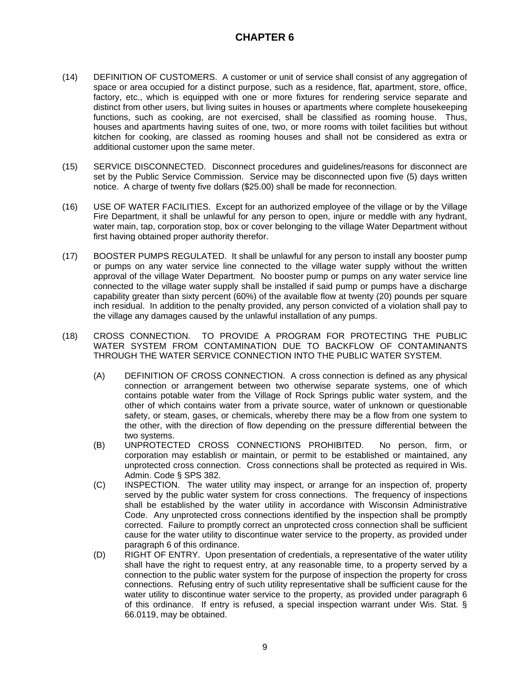- (14) DEFINITION OF CUSTOMERS. A customer or unit of service shall consist of any aggregation of space or area occupied for a distinct purpose, such as a residence, flat, apartment, store, office, factory, etc., which is equipped with one or more fixtures for rendering service separate and distinct from other users, but living suites in houses or apartments where complete housekeeping functions, such as cooking, are not exercised, shall be classified as rooming house. Thus, houses and apartments having suites of one, two, or more rooms with toilet facilities but without kitchen for cooking, are classed as rooming houses and shall not be considered as extra or additional customer upon the same meter.
- (15) SERVICE DISCONNECTED. Disconnect procedures and guidelines/reasons for disconnect are set by the Public Service Commission. Service may be disconnected upon five (5) days written notice. A charge of twenty five dollars (\$25.00) shall be made for reconnection.
- (16) USE OF WATER FACILITIES. Except for an authorized employee of the village or by the Village Fire Department, it shall be unlawful for any person to open, injure or meddle with any hydrant, water main, tap, corporation stop, box or cover belonging to the village Water Department without first having obtained proper authority therefor.
- (17) BOOSTER PUMPS REGULATED.It shall be unlawful for any person to install any booster pump or pumps on any water service line connected to the village water supply without the written approval of the village Water Department. No booster pump or pumps on any water service line connected to the village water supply shall be installed if said pump or pumps have a discharge capability greater than sixty percent (60%) of the available flow at twenty (20) pounds per square inch residual. In addition to the penalty provided, any person convicted of a violation shall pay to the village any damages caused by the unlawful installation of any pumps.
- (18) CROSS CONNECTION. TO PROVIDE A PROGRAM FOR PROTECTING THE PUBLIC WATER SYSTEM FROM CONTAMINATION DUE TO BACKFLOW OF CONTAMINANTS THROUGH THE WATER SERVICE CONNECTION INTO THE PUBLIC WATER SYSTEM.
	- (A) DEFINITION OF CROSS CONNECTION. A cross connection is defined as any physical connection or arrangement between two otherwise separate systems, one of which contains potable water from the Village of Rock Springs public water system, and the other of which contains water from a private source, water of unknown or questionable safety, or steam, gases, or chemicals, whereby there may be a flow from one system to the other, with the direction of flow depending on the pressure differential between the two systems.
	- (B) UNPROTECTED CROSS CONNECTIONS PROHIBITED. No person, firm, or corporation may establish or maintain, or permit to be established or maintained, any unprotected cross connection. Cross connections shall be protected as required in Wis. Admin. Code § SPS 382.
	- (C) INSPECTION. The water utility may inspect, or arrange for an inspection of, property served by the public water system for cross connections. The frequency of inspections shall be established by the water utility in accordance with Wisconsin Administrative Code. Any unprotected cross connections identified by the inspection shall be promptly corrected. Failure to promptly correct an unprotected cross connection shall be sufficient cause for the water utility to discontinue water service to the property, as provided under paragraph 6 of this ordinance.
	- (D) RIGHT OF ENTRY. Upon presentation of credentials, a representative of the water utility shall have the right to request entry, at any reasonable time, to a property served by a connection to the public water system for the purpose of inspection the property for cross connections. Refusing entry of such utility representative shall be sufficient cause for the water utility to discontinue water service to the property, as provided under paragraph 6 of this ordinance. If entry is refused, a special inspection warrant under Wis. Stat. § 66.0119, may be obtained.